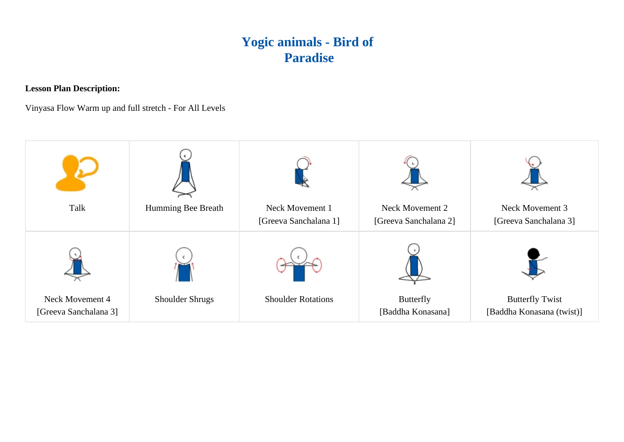## **Yogic animals - Bird of Paradise**

**Lesson Plan Description:**

Vinyasa Flow Warm up and full stretch - For All Levels

| Talk                                     | Humming Bee Breath     | Neck Movement 1<br>[Greeva Sanchalana 1] | Neck Movement 2<br>[Greeva Sanchalana 2] | Neck Movement 3<br>[Greeva Sanchalana 3]            |
|------------------------------------------|------------------------|------------------------------------------|------------------------------------------|-----------------------------------------------------|
|                                          |                        |                                          |                                          |                                                     |
| Neck Movement 4<br>[Greeva Sanchalana 3] | <b>Shoulder Shrugs</b> | <b>Shoulder Rotations</b>                | <b>Butterfly</b><br>[Baddha Konasana]    | <b>Butterfly Twist</b><br>[Baddha Konasana (twist)] |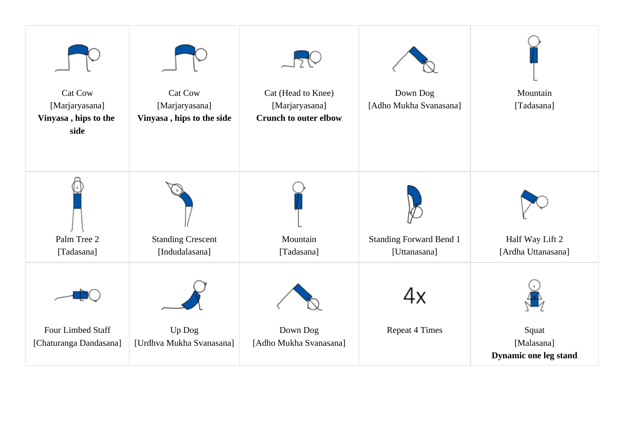| <b>Cat Cow</b><br>[Marjaryasana]<br>Vinyasa, hips to the<br>side | <b>Cat Cow</b><br>[Marjaryasana]<br>Vinyasa, hips to the side | Cat (Head to Knee)<br>[Marjaryasana]<br><b>Crunch to outer elbow</b> | Down Dog<br>[Adho Mukha Svanasana]             | Mountain<br>[Tadasana]                       |
|------------------------------------------------------------------|---------------------------------------------------------------|----------------------------------------------------------------------|------------------------------------------------|----------------------------------------------|
| Palm Tree 2<br>[Tadasana]                                        | <b>Standing Crescent</b><br>[Indudalasana]                    | Mountain<br>[Tadasana]                                               | <b>Standing Forward Bend 1</b><br>[Uttanasana] | Half Way Lift 2<br>[Ardha Uttanasana]        |
| Four Limbed Staff<br>[Chaturanga Dandasana]                      | Up Dog<br>[Urdhva Mukha Svanasana]                            | Down Dog<br>[Adho Mukha Svanasana]                                   | 4х<br><b>Repeat 4 Times</b>                    | Squat<br>[Malasana]<br>Dynamic one leg stand |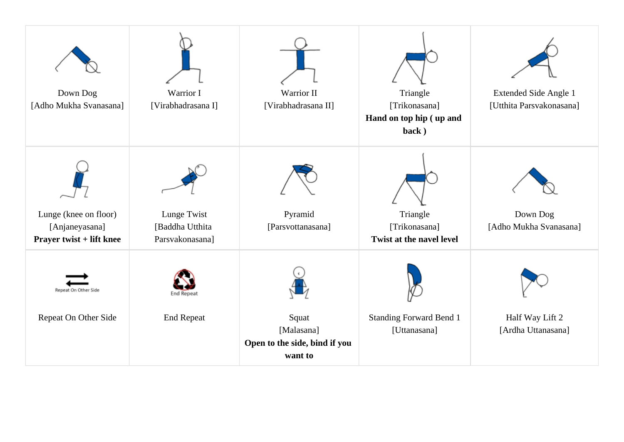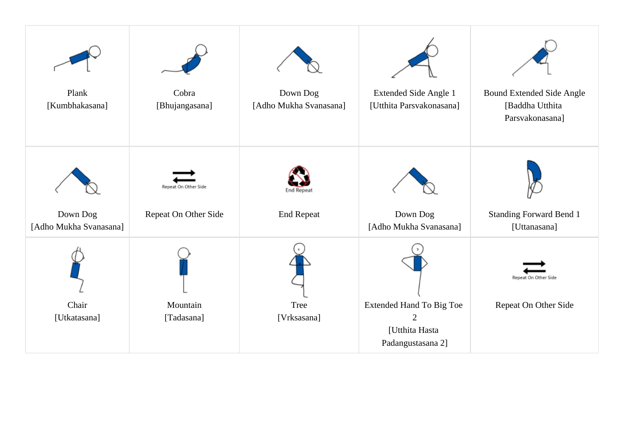| Plank<br>[Kumbhakasana]            | Cobra<br>[Bhujangasana] | Down Dog<br>[Adho Mukha Svanasana] | Extended Side Angle 1<br>[Utthita Parsvakonasana]                                        | <b>Bound Extended Side Angle</b><br>[Baddha Utthita<br>Parsvakonasana] |
|------------------------------------|-------------------------|------------------------------------|------------------------------------------------------------------------------------------|------------------------------------------------------------------------|
| Down Dog<br>[Adho Mukha Svanasana] | Repeat On Other Side    | End Repea<br><b>End Repeat</b>     | Down Dog<br>[Adho Mukha Svanasana]                                                       | <b>Standing Forward Bend 1</b><br>[Uttanasana]                         |
| Chair<br>[Utkatasana]              | Mountain<br>[Tadasana]  | Tree<br>[Vrksasana]                | <b>Extended Hand To Big Toe</b><br>$\overline{2}$<br>[Utthita Hasta<br>Padangustasana 2] | Repeat On Other Side<br>Repeat On Other Side                           |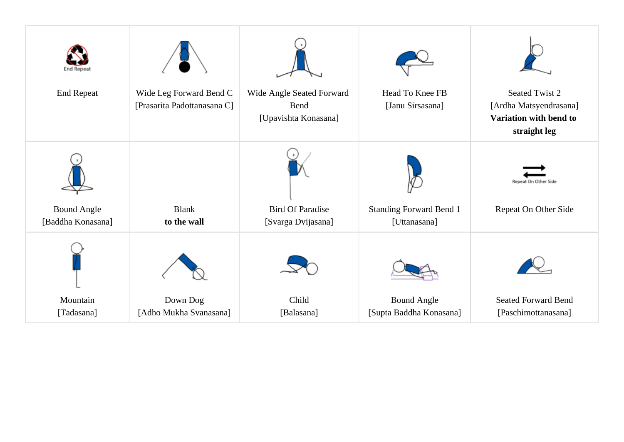| <b>Seated Twist 2</b>                                            |
|------------------------------------------------------------------|
| [Ardha Matsyendrasana]<br>Variation with bend to<br>straight leg |
| Repeat On Other<br>Repeat On Other Side                          |
|                                                                  |
|                                                                  |
| <b>Seated Forward Bend</b><br>[Paschimottanasana]                |
|                                                                  |